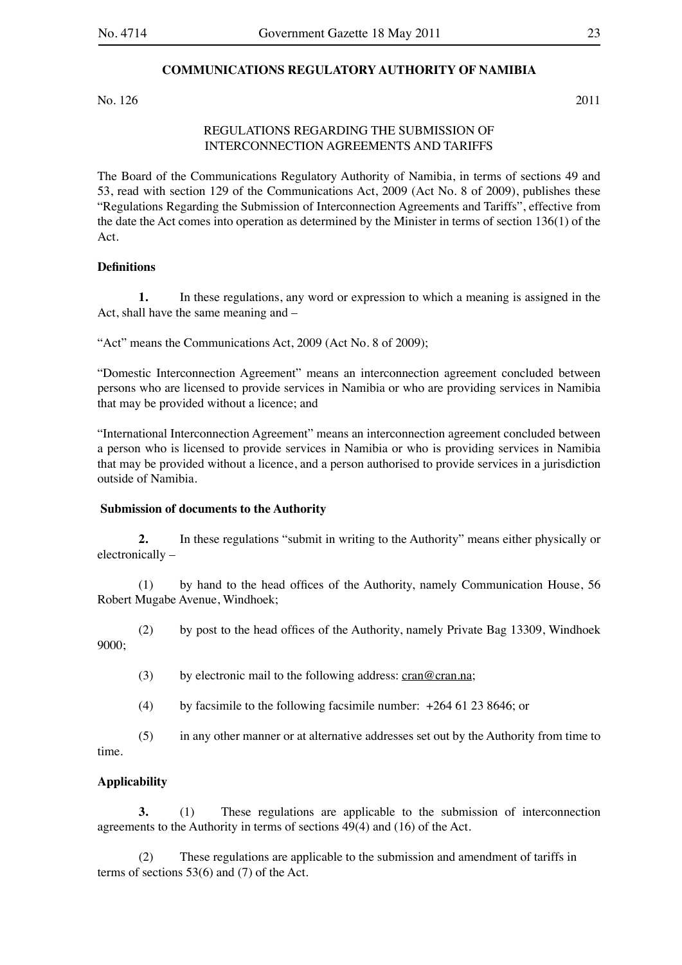### **COMMUNICATIONS REGULATORY AUTHORITY OF NAMIBIA**

No. 126 2011

# REGULATIONS REGARDING THE SUBMISSION OF INTERCONNECTION AGREEMENTS AND TARIFFS

The Board of the Communications Regulatory Authority of Namibia, in terms of sections 49 and 53, read with section 129 of the Communications Act, 2009 (Act No. 8 of 2009), publishes these "Regulations Regarding the Submission of Interconnection Agreements and Tariffs", effective from the date the Act comes into operation as determined by the Minister in terms of section 136(1) of the Act.

#### **Definitions**

**1.** In these regulations, any word or expression to which a meaning is assigned in the Act, shall have the same meaning and –

"Act" means the Communications Act, 2009 (Act No. 8 of 2009);

"Domestic Interconnection Agreement" means an interconnection agreement concluded between persons who are licensed to provide services in Namibia or who are providing services in Namibia that may be provided without a licence; and

"International Interconnection Agreement" means an interconnection agreement concluded between a person who is licensed to provide services in Namibia or who is providing services in Namibia that may be provided without a licence, and a person authorised to provide services in a jurisdiction outside of Namibia.

# **Submission of documents to the Authority**

**2.** In these regulations "submit in writing to the Authority" means either physically or electronically –

(1) by hand to the head offices of the Authority, namely Communication House, 56 Robert Mugabe Avenue, Windhoek;

(2) by post to the head offices of the Authority, namely Private Bag 13309, Windhoek 9000;

(3) by electronic mail to the following address: cran@cran.na;

(4) by facsimile to the following facsimile number:  $+264$  61 23 8646; or

(5) in any other manner or at alternative addresses set out by the Authority from time to

time.

#### **Applicability**

**3.** (1) These regulations are applicable to the submission of interconnection agreements to the Authority in terms of sections 49(4) and (16) of the Act.

(2) These regulations are applicable to the submission and amendment of tariffs in terms of sections 53(6) and (7) of the Act.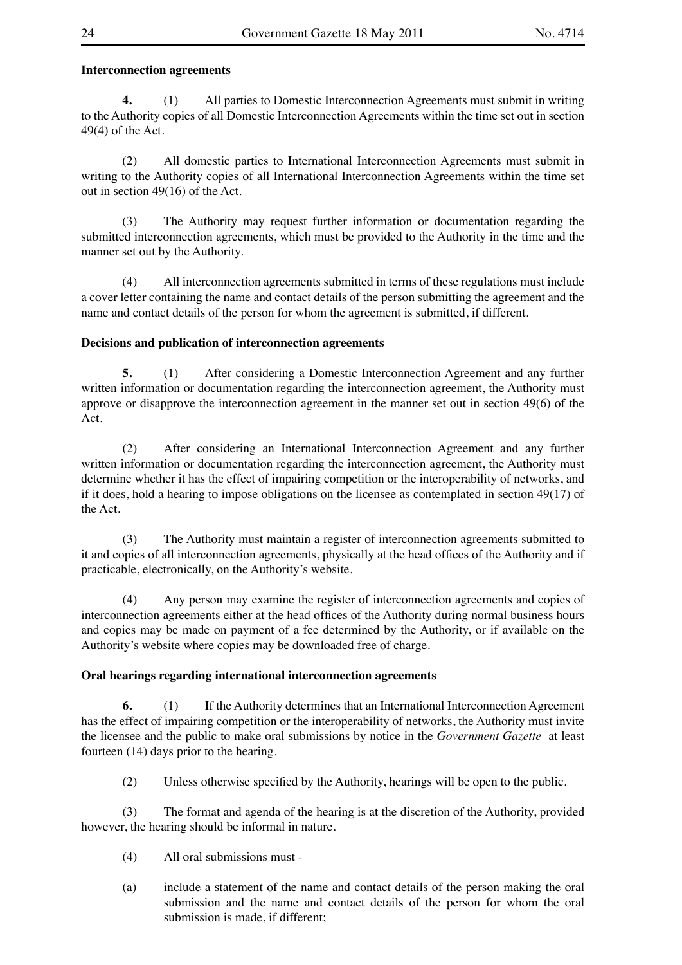## **Interconnection agreements**

**4.** (1) All parties to Domestic Interconnection Agreements must submit in writing to the Authority copies of all Domestic Interconnection Agreements within the time set out in section 49(4) of the Act.

(2) All domestic parties to International Interconnection Agreements must submit in writing to the Authority copies of all International Interconnection Agreements within the time set out in section 49(16) of the Act.

(3) The Authority may request further information or documentation regarding the submitted interconnection agreements, which must be provided to the Authority in the time and the manner set out by the Authority.

(4) All interconnection agreements submitted in terms of these regulations must include a cover letter containing the name and contact details of the person submitting the agreement and the name and contact details of the person for whom the agreement is submitted, if different.

#### **Decisions and publication of interconnection agreements**

**5.** (1) After considering a Domestic Interconnection Agreement and any further written information or documentation regarding the interconnection agreement, the Authority must approve or disapprove the interconnection agreement in the manner set out in section 49(6) of the Act.

(2) After considering an International Interconnection Agreement and any further written information or documentation regarding the interconnection agreement, the Authority must determine whether it has the effect of impairing competition or the interoperability of networks, and if it does, hold a hearing to impose obligations on the licensee as contemplated in section 49(17) of the Act.

(3) The Authority must maintain a register of interconnection agreements submitted to it and copies of all interconnection agreements, physically at the head offices of the Authority and if practicable, electronically, on the Authority's website.

(4) Any person may examine the register of interconnection agreements and copies of interconnection agreements either at the head offices of the Authority during normal business hours and copies may be made on payment of a fee determined by the Authority, or if available on the Authority's website where copies may be downloaded free of charge.

#### **Oral hearings regarding international interconnection agreements**

**6.** (1) If the Authority determines that an International Interconnection Agreement has the effect of impairing competition or the interoperability of networks, the Authority must invite the licensee and the public to make oral submissions by notice in the *Government Gazette* at least fourteen (14) days prior to the hearing.

(2) Unless otherwise specified by the Authority, hearings will be open to the public.

(3) The format and agenda of the hearing is at the discretion of the Authority, provided however, the hearing should be informal in nature.

- (4) All oral submissions must -
- (a) include a statement of the name and contact details of the person making the oral submission and the name and contact details of the person for whom the oral submission is made, if different;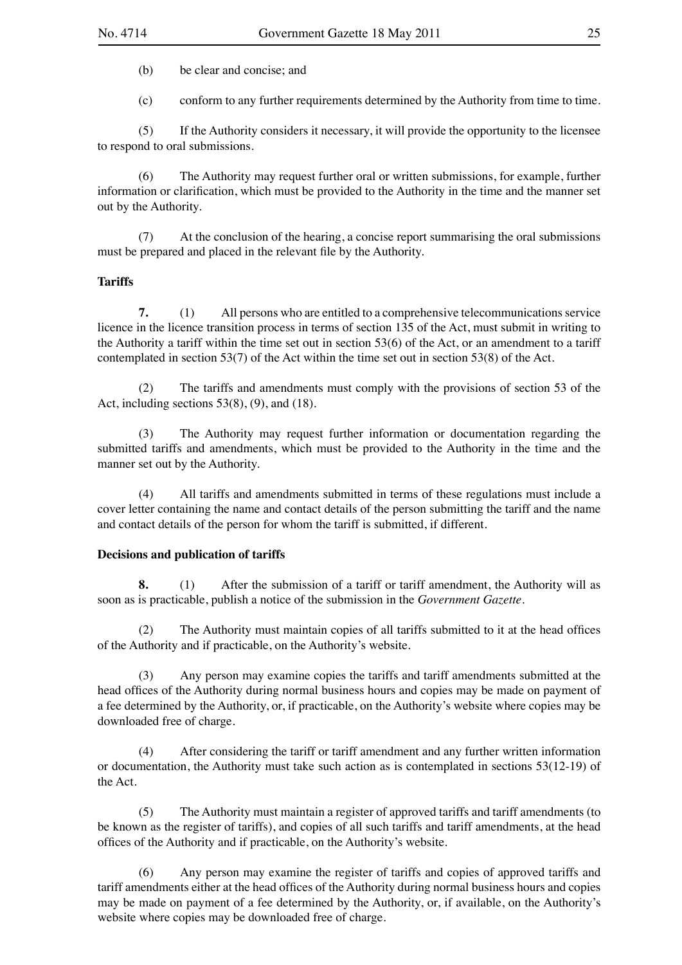(b) be clear and concise; and

(c) conform to any further requirements determined by the Authority from time to time.

(5) If the Authority considers it necessary, it will provide the opportunity to the licensee to respond to oral submissions.

(6) The Authority may request further oral or written submissions, for example, further information or clarification, which must be provided to the Authority in the time and the manner set out by the Authority.

(7) At the conclusion of the hearing, a concise report summarising the oral submissions must be prepared and placed in the relevant file by the Authority.

## **Tariffs**

**7.** (1) All persons who are entitled to a comprehensive telecommunications service licence in the licence transition process in terms of section 135 of the Act, must submit in writing to the Authority a tariff within the time set out in section 53(6) of the Act, or an amendment to a tariff contemplated in section 53(7) of the Act within the time set out in section 53(8) of the Act.

(2) The tariffs and amendments must comply with the provisions of section 53 of the Act, including sections  $53(8)$ ,  $(9)$ , and  $(18)$ .

(3) The Authority may request further information or documentation regarding the submitted tariffs and amendments, which must be provided to the Authority in the time and the manner set out by the Authority.

(4) All tariffs and amendments submitted in terms of these regulations must include a cover letter containing the name and contact details of the person submitting the tariff and the name and contact details of the person for whom the tariff is submitted, if different.

#### **Decisions and publication of tariffs**

**8.** (1) After the submission of a tariff or tariff amendment, the Authority will as soon as is practicable, publish a notice of the submission in the *Government Gazette*.

(2) The Authority must maintain copies of all tariffs submitted to it at the head offices of the Authority and if practicable, on the Authority's website.

(3) Any person may examine copies the tariffs and tariff amendments submitted at the head offices of the Authority during normal business hours and copies may be made on payment of a fee determined by the Authority, or, if practicable, on the Authority's website where copies may be downloaded free of charge.

(4) After considering the tariff or tariff amendment and any further written information or documentation, the Authority must take such action as is contemplated in sections 53(12-19) of the Act.

(5) The Authority must maintain a register of approved tariffs and tariff amendments (to be known as the register of tariffs), and copies of all such tariffs and tariff amendments, at the head offices of the Authority and if practicable, on the Authority's website.

(6) Any person may examine the register of tariffs and copies of approved tariffs and tariff amendments either at the head offices of the Authority during normal business hours and copies may be made on payment of a fee determined by the Authority, or, if available, on the Authority's website where copies may be downloaded free of charge.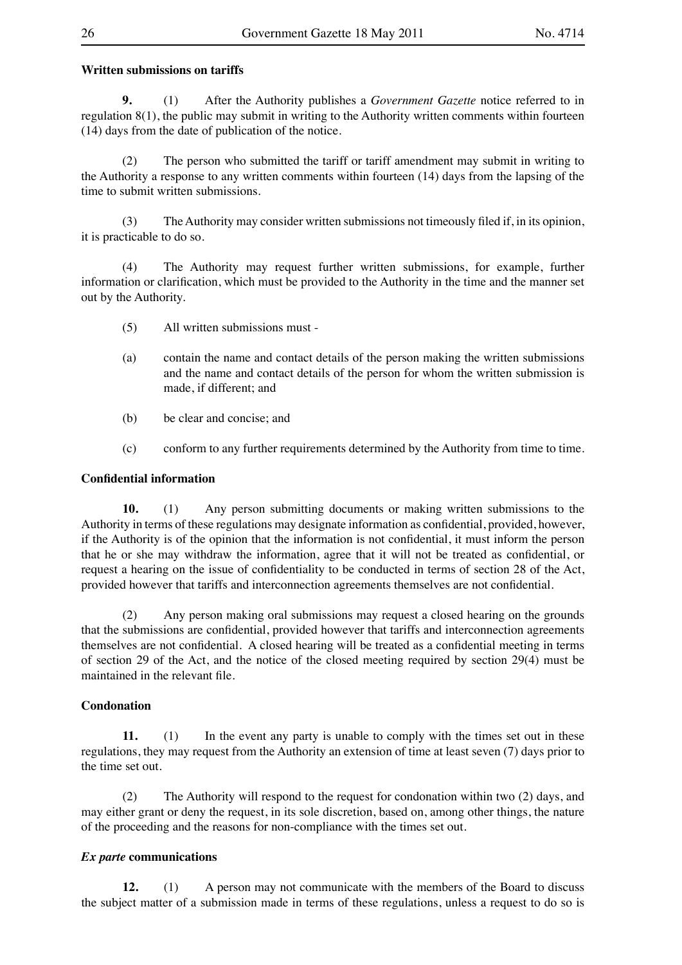### **Written submissions on tariffs**

**9.** (1) After the Authority publishes a *Government Gazette* notice referred to in regulation 8(1), the public may submit in writing to the Authority written comments within fourteen (14) days from the date of publication of the notice.

(2) The person who submitted the tariff or tariff amendment may submit in writing to the Authority a response to any written comments within fourteen (14) days from the lapsing of the time to submit written submissions.

(3) The Authority may consider written submissions not timeously filed if, in its opinion, it is practicable to do so.

(4) The Authority may request further written submissions, for example, further information or clarification, which must be provided to the Authority in the time and the manner set out by the Authority.

- (5) All written submissions must -
- (a) contain the name and contact details of the person making the written submissions and the name and contact details of the person for whom the written submission is made, if different; and
- (b) be clear and concise; and
- (c) conform to any further requirements determined by the Authority from time to time.

## **Confidential information**

**10.** (1) Any person submitting documents or making written submissions to the Authority in terms of these regulations may designate information as confidential, provided, however, if the Authority is of the opinion that the information is not confidential, it must inform the person that he or she may withdraw the information, agree that it will not be treated as confidential, or request a hearing on the issue of confidentiality to be conducted in terms of section 28 of the Act, provided however that tariffs and interconnection agreements themselves are not confidential.

(2) Any person making oral submissions may request a closed hearing on the grounds that the submissions are confidential, provided however that tariffs and interconnection agreements themselves are not confidential. A closed hearing will be treated as a confidential meeting in terms of section 29 of the Act, and the notice of the closed meeting required by section 29(4) must be maintained in the relevant file.

## **Condonation**

**11.** (1) In the event any party is unable to comply with the times set out in these regulations, they may request from the Authority an extension of time at least seven (7) days prior to the time set out.

(2) The Authority will respond to the request for condonation within two (2) days, and may either grant or deny the request, in its sole discretion, based on, among other things, the nature of the proceeding and the reasons for non-compliance with the times set out.

## *Ex parte* **communications**

**12.** (1) A person may not communicate with the members of the Board to discuss the subject matter of a submission made in terms of these regulations, unless a request to do so is